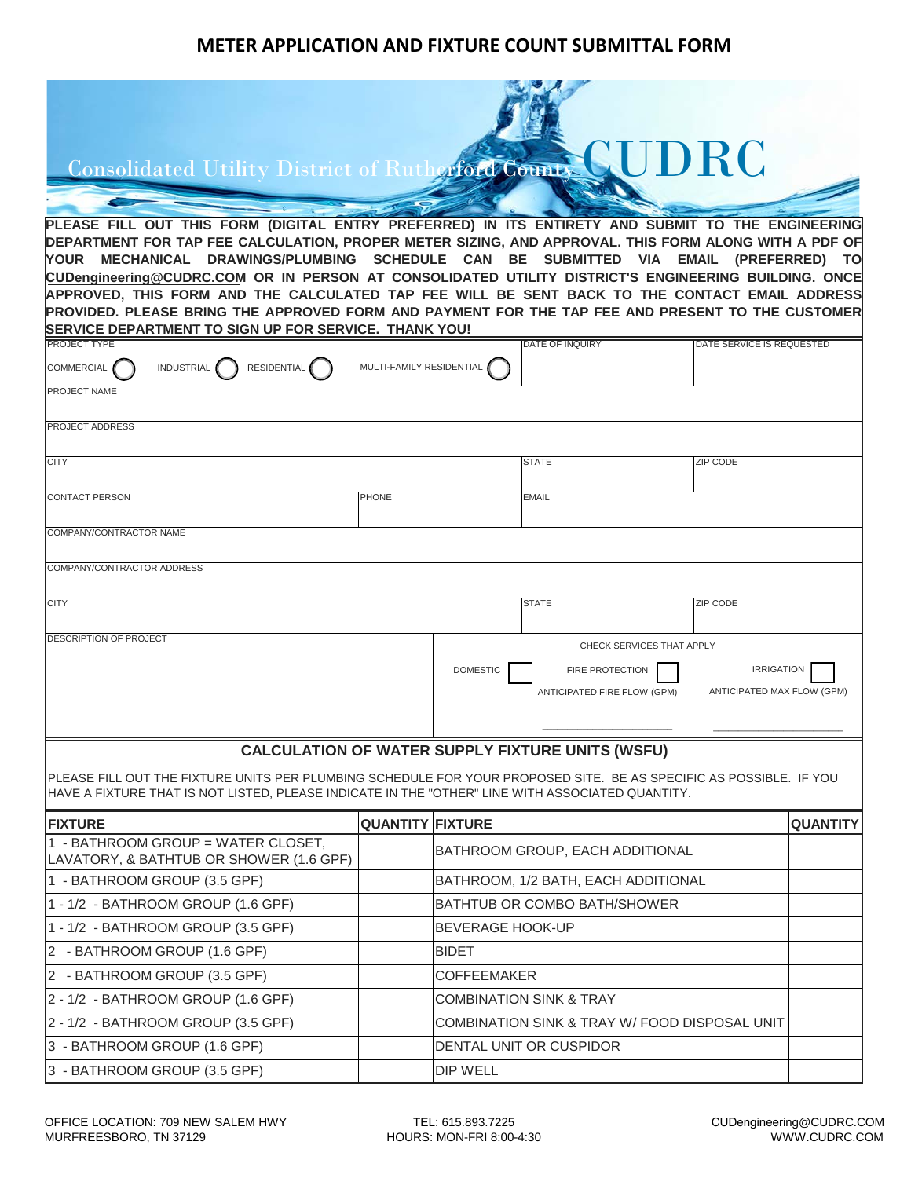## **METER APPLICATION AND FIXTURE COUNT SUBMITTAL FORM**

| <b>NUDRC</b><br>Consolidated Utility District of Rutherford County<br>PLEASE FILL OUT THIS FORM (DIGITAL ENTRY PREFERRED) IN ITS ENTIRETY AND SUBMIT TO THE ENGINEERING<br>DEPARTMENT FOR TAP FEE CALCULATION, PROPER METER SIZING, AND APPROVAL. THIS FORM ALONG WITH A PDF OF<br>YOUR MECHANICAL DRAWINGS/PLUMBING SCHEDULE CAN BE SUBMITTED VIA EMAIL (PREFERRED)<br>TO<br>CUDengineering@CUDRC.COM OR IN PERSON AT CONSOLIDATED UTILITY DISTRICT'S ENGINEERING BUILDING. ONCE<br>APPROVED, THIS FORM AND THE CALCULATED TAP FEE WILL BE SENT BACK TO THE CONTACT EMAIL ADDRESS<br>PROVIDED. PLEASE BRING THE APPROVED FORM AND PAYMENT FOR THE TAP FEE AND PRESENT TO THE CUSTOMER<br>SERVICE DEPARTMENT TO SIGN UP FOR SERVICE. THANK YOU! |                          |                                                                                                                             |                                 |  |                           |                 |  |  |  |
|-------------------------------------------------------------------------------------------------------------------------------------------------------------------------------------------------------------------------------------------------------------------------------------------------------------------------------------------------------------------------------------------------------------------------------------------------------------------------------------------------------------------------------------------------------------------------------------------------------------------------------------------------------------------------------------------------------------------------------------------------|--------------------------|-----------------------------------------------------------------------------------------------------------------------------|---------------------------------|--|---------------------------|-----------------|--|--|--|
| <b>PROJECT TYPE</b>                                                                                                                                                                                                                                                                                                                                                                                                                                                                                                                                                                                                                                                                                                                             |                          |                                                                                                                             | DATE OF INQUIRY                 |  | DATE SERVICE IS REQUESTED |                 |  |  |  |
| <b>RESIDENTIAL</b><br><b>COMMERCIAL</b><br><b>INDUSTRIAL</b>                                                                                                                                                                                                                                                                                                                                                                                                                                                                                                                                                                                                                                                                                    | MULTI-FAMILY RESIDENTIAL |                                                                                                                             |                                 |  |                           |                 |  |  |  |
| PROJECT NAME                                                                                                                                                                                                                                                                                                                                                                                                                                                                                                                                                                                                                                                                                                                                    |                          |                                                                                                                             |                                 |  |                           |                 |  |  |  |
| <b>PROJECT ADDRESS</b>                                                                                                                                                                                                                                                                                                                                                                                                                                                                                                                                                                                                                                                                                                                          |                          |                                                                                                                             |                                 |  |                           |                 |  |  |  |
| <b>CITY</b>                                                                                                                                                                                                                                                                                                                                                                                                                                                                                                                                                                                                                                                                                                                                     |                          |                                                                                                                             | <b>STATE</b>                    |  | ZIP CODE                  |                 |  |  |  |
| <b>CONTACT PERSON</b>                                                                                                                                                                                                                                                                                                                                                                                                                                                                                                                                                                                                                                                                                                                           | <b>PHONE</b>             |                                                                                                                             | <b>EMAIL</b>                    |  |                           |                 |  |  |  |
|                                                                                                                                                                                                                                                                                                                                                                                                                                                                                                                                                                                                                                                                                                                                                 |                          |                                                                                                                             |                                 |  |                           |                 |  |  |  |
| COMPANY/CONTRACTOR NAME                                                                                                                                                                                                                                                                                                                                                                                                                                                                                                                                                                                                                                                                                                                         |                          |                                                                                                                             |                                 |  |                           |                 |  |  |  |
| COMPANY/CONTRACTOR ADDRESS                                                                                                                                                                                                                                                                                                                                                                                                                                                                                                                                                                                                                                                                                                                      |                          |                                                                                                                             |                                 |  |                           |                 |  |  |  |
|                                                                                                                                                                                                                                                                                                                                                                                                                                                                                                                                                                                                                                                                                                                                                 |                          |                                                                                                                             |                                 |  |                           |                 |  |  |  |
| <b>CITY</b>                                                                                                                                                                                                                                                                                                                                                                                                                                                                                                                                                                                                                                                                                                                                     |                          |                                                                                                                             | <b>STATE</b>                    |  | <b>ZIP CODE</b>           |                 |  |  |  |
| DESCRIPTION OF PROJECT                                                                                                                                                                                                                                                                                                                                                                                                                                                                                                                                                                                                                                                                                                                          |                          |                                                                                                                             |                                 |  |                           |                 |  |  |  |
|                                                                                                                                                                                                                                                                                                                                                                                                                                                                                                                                                                                                                                                                                                                                                 |                          | CHECK SERVICES THAT APPLY                                                                                                   |                                 |  |                           |                 |  |  |  |
|                                                                                                                                                                                                                                                                                                                                                                                                                                                                                                                                                                                                                                                                                                                                                 |                          | <b>DOMESTIC</b><br><b>IRRIGATION</b><br><b>FIRE PROTECTION</b><br>ANTICIPATED FIRE FLOW (GPM)<br>ANTICIPATED MAX FLOW (GPM) |                                 |  |                           |                 |  |  |  |
|                                                                                                                                                                                                                                                                                                                                                                                                                                                                                                                                                                                                                                                                                                                                                 |                          |                                                                                                                             |                                 |  |                           |                 |  |  |  |
|                                                                                                                                                                                                                                                                                                                                                                                                                                                                                                                                                                                                                                                                                                                                                 |                          |                                                                                                                             |                                 |  |                           |                 |  |  |  |
| <b>CALCULATION OF WATER SUPPLY FIXTURE UNITS (WSFU)</b>                                                                                                                                                                                                                                                                                                                                                                                                                                                                                                                                                                                                                                                                                         |                          |                                                                                                                             |                                 |  |                           |                 |  |  |  |
| PLEASE FILL OUT THE FIXTURE UNITS PER PLUMBING SCHEDULE FOR YOUR PROPOSED SITE. BE AS SPECIFIC AS POSSIBLE. IF YOU<br>HAVE A FIXTURE THAT IS NOT LISTED, PLEASE INDICATE IN THE "OTHER" LINE WITH ASSOCIATED QUANTITY.                                                                                                                                                                                                                                                                                                                                                                                                                                                                                                                          |                          |                                                                                                                             |                                 |  |                           |                 |  |  |  |
| <b>FIXTURE</b>                                                                                                                                                                                                                                                                                                                                                                                                                                                                                                                                                                                                                                                                                                                                  | <b>QUANTITY FIXTURE</b>  |                                                                                                                             |                                 |  |                           | <b>QUANTITY</b> |  |  |  |
| 1 - BATHROOM GROUP = WATER CLOSET,<br>LAVATORY, & BATHTUB OR SHOWER (1.6 GPF)                                                                                                                                                                                                                                                                                                                                                                                                                                                                                                                                                                                                                                                                   |                          |                                                                                                                             | BATHROOM GROUP, EACH ADDITIONAL |  |                           |                 |  |  |  |
| 1 - BATHROOM GROUP (3.5 GPF)                                                                                                                                                                                                                                                                                                                                                                                                                                                                                                                                                                                                                                                                                                                    |                          | BATHROOM, 1/2 BATH, EACH ADDITIONAL                                                                                         |                                 |  |                           |                 |  |  |  |
| 1 - 1/2 - BATHROOM GROUP (1.6 GPF)                                                                                                                                                                                                                                                                                                                                                                                                                                                                                                                                                                                                                                                                                                              |                          | <b>BATHTUB OR COMBO BATH/SHOWER</b>                                                                                         |                                 |  |                           |                 |  |  |  |
| 1 - 1/2 - BATHROOM GROUP (3.5 GPF)                                                                                                                                                                                                                                                                                                                                                                                                                                                                                                                                                                                                                                                                                                              |                          | BEVERAGE HOOK-UP                                                                                                            |                                 |  |                           |                 |  |  |  |
| 2 - BATHROOM GROUP (1.6 GPF)                                                                                                                                                                                                                                                                                                                                                                                                                                                                                                                                                                                                                                                                                                                    |                          | <b>BIDET</b>                                                                                                                |                                 |  |                           |                 |  |  |  |
| 2 - BATHROOM GROUP (3.5 GPF)                                                                                                                                                                                                                                                                                                                                                                                                                                                                                                                                                                                                                                                                                                                    |                          | <b>COFFEEMAKER</b>                                                                                                          |                                 |  |                           |                 |  |  |  |
| 2 - 1/2 - BATHROOM GROUP (1.6 GPF)                                                                                                                                                                                                                                                                                                                                                                                                                                                                                                                                                                                                                                                                                                              |                          | <b>COMBINATION SINK &amp; TRAY</b>                                                                                          |                                 |  |                           |                 |  |  |  |
| 2 - 1/2 - BATHROOM GROUP (3.5 GPF)                                                                                                                                                                                                                                                                                                                                                                                                                                                                                                                                                                                                                                                                                                              |                          | COMBINATION SINK & TRAY W/ FOOD DISPOSAL UNIT                                                                               |                                 |  |                           |                 |  |  |  |
| 3 - BATHROOM GROUP (1.6 GPF)                                                                                                                                                                                                                                                                                                                                                                                                                                                                                                                                                                                                                                                                                                                    |                          | DENTAL UNIT OR CUSPIDOR                                                                                                     |                                 |  |                           |                 |  |  |  |
| 3 - BATHROOM GROUP (3.5 GPF)                                                                                                                                                                                                                                                                                                                                                                                                                                                                                                                                                                                                                                                                                                                    |                          | DIP WELL                                                                                                                    |                                 |  |                           |                 |  |  |  |